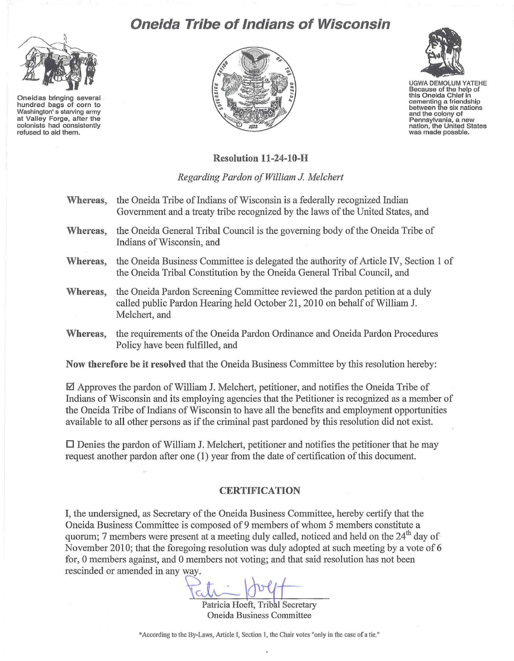## **Oneida Tribe of Indians of Wisconsin**



**Oneidas bringing several hundred bags of corn to Washington's starving army at Valley Forge, after the colonists had consistently refused to aid them.** 





UGWA OEMOLUM YATEHE **Because of the help of this Oneida Chief in cementing a friendship between the six nations and the colony of Pennsylvania, a new nation, the UnIted States was made possble.** 

**Resolution 11-24-10-H** 

*Regarding Pardon a/William* J. *Melchert* 

**Whereas,** the Oneida Tribe of Indians of Wisconsin is a federally recognized Indian Government and a treaty tribe recognized by the laws of the United States, and **Whereas,** the Oneida General Tribal Council is the governing body of the Oneida Tribe of Indians of Wisconsin, and **Whereas,** the Oneida Business Committee is delegated the authority of Article IV, Section 1 of the Oneida Tribal Constitution by the Oneida General Tribal Council, and **Whereas,** the Oneida Pardon Screening Committee reviewed the pardon petition at a duly called public Pardon Hearing held October 21,2010 on behalf of William J. Melchert, and **Whereas,** the requirements of the Oneida Pardon Ordinance and Oneida Pardon Procedures Policy have been fulfilled, and **Now therefore be it resolved** that the Oneida Business Committee by this resolution hereby:

 $\boxtimes$  Approves the pardon of William J. Melchert, petitioner, and notifies the Oneida Tribe of Indians of Wisconsin and its employing agencies that the Petitioner is recognized as a member of the Oneida Tribe of Indians of Wisconsin to have all the benefits and employment opportunities available to all other persons as if the criminal past pardoned by this resolution did not exist.

 $\square$  Denies the pardon of William J. Melchert, petitioner and notifies the petitioner that he may request another pardon after one  $(1)$  year from the date of certification of this document.

## **CERTIFICATION**

I, the undersigned, as Secretary of the Oneida Business Committee, hereby certify that the Oneida Business Committee is composed of9 members of whom 5 members constitute a quorum; 7 members were present at a meeting duly called, noticed and held on the  $24<sup>th</sup>$  day of November 2010; that the foregoing resolution was duly adopted at such meeting by a vote of 6 for, 0 members against, and 0 members not voting; and that said resolution has not been rescinded or amended in any way.

Patricia Hoeft, Tribal Secretary Oneida Business Committee